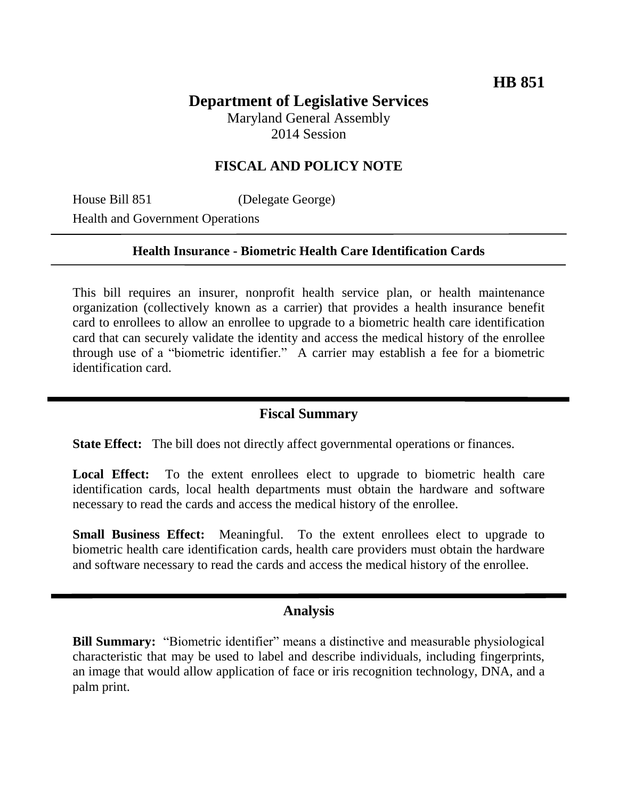# **Department of Legislative Services**

Maryland General Assembly 2014 Session

## **FISCAL AND POLICY NOTE**

House Bill 851 (Delegate George) Health and Government Operations

### **Health Insurance - Biometric Health Care Identification Cards**

This bill requires an insurer, nonprofit health service plan, or health maintenance organization (collectively known as a carrier) that provides a health insurance benefit card to enrollees to allow an enrollee to upgrade to a biometric health care identification card that can securely validate the identity and access the medical history of the enrollee through use of a "biometric identifier." A carrier may establish a fee for a biometric identification card.

## **Fiscal Summary**

**State Effect:** The bill does not directly affect governmental operations or finances.

Local Effect: To the extent enrollees elect to upgrade to biometric health care identification cards, local health departments must obtain the hardware and software necessary to read the cards and access the medical history of the enrollee.

**Small Business Effect:** Meaningful. To the extent enrollees elect to upgrade to biometric health care identification cards, health care providers must obtain the hardware and software necessary to read the cards and access the medical history of the enrollee.

### **Analysis**

**Bill Summary:** "Biometric identifier" means a distinctive and measurable physiological characteristic that may be used to label and describe individuals, including fingerprints, an image that would allow application of face or iris recognition technology, DNA, and a palm print.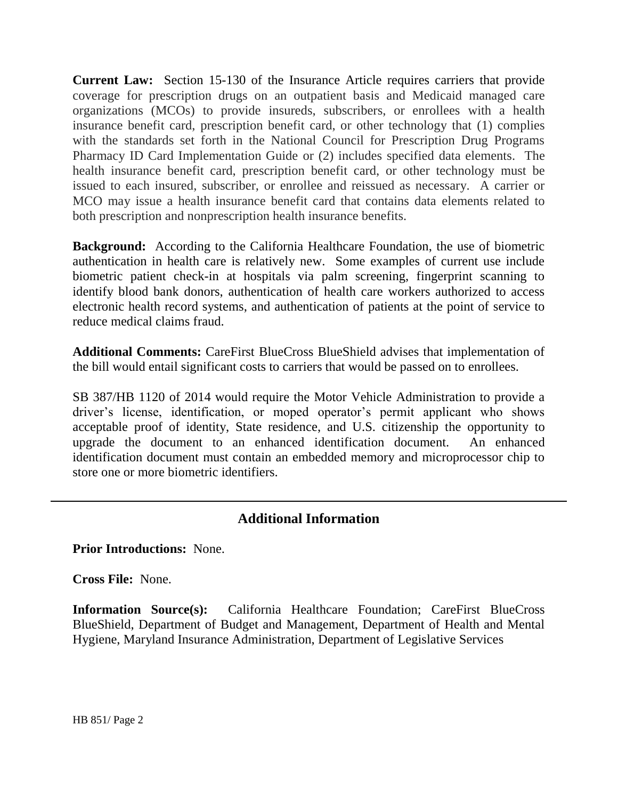**Current Law:** Section 15-130 of the Insurance Article requires carriers that provide coverage for prescription drugs on an outpatient basis and Medicaid managed care organizations (MCOs) to provide insureds, subscribers, or enrollees with a health insurance benefit card, prescription benefit card, or other technology that (1) complies with the standards set forth in the National Council for Prescription Drug Programs Pharmacy ID Card Implementation Guide or (2) includes specified data elements. The health insurance benefit card, prescription benefit card, or other technology must be issued to each insured, subscriber, or enrollee and reissued as necessary. A carrier or MCO may issue a health insurance benefit card that contains data elements related to both prescription and nonprescription health insurance benefits.

**Background:** According to the California Healthcare Foundation, the use of biometric authentication in health care is relatively new. Some examples of current use include biometric patient check-in at hospitals via palm screening, fingerprint scanning to identify blood bank donors, authentication of health care workers authorized to access electronic health record systems, and authentication of patients at the point of service to reduce medical claims fraud.

**Additional Comments:** CareFirst BlueCross BlueShield advises that implementation of the bill would entail significant costs to carriers that would be passed on to enrollees.

SB 387/HB 1120 of 2014 would require the Motor Vehicle Administration to provide a driver's license, identification, or moped operator's permit applicant who shows acceptable proof of identity, State residence, and U.S. citizenship the opportunity to upgrade the document to an enhanced identification document. An enhanced identification document must contain an embedded memory and microprocessor chip to store one or more biometric identifiers.

# **Additional Information**

**Prior Introductions:** None.

**Cross File:** None.

**Information Source(s):** California Healthcare Foundation; CareFirst BlueCross BlueShield, Department of Budget and Management, Department of Health and Mental Hygiene, Maryland Insurance Administration, Department of Legislative Services